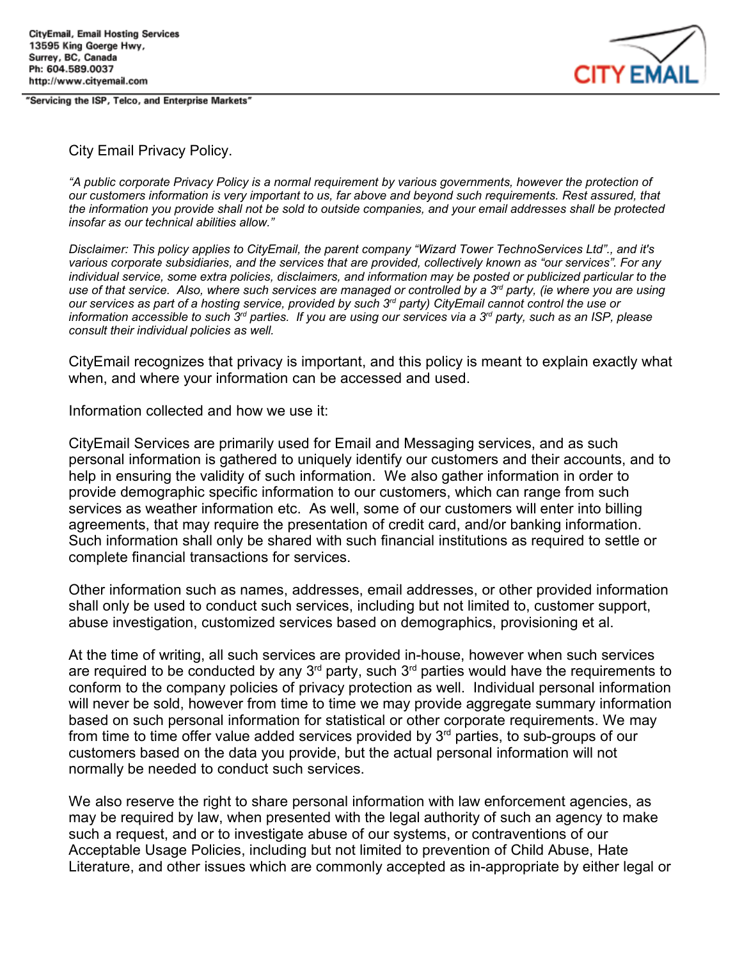"Servicing the ISP, Telco, and Enterprise Markets"



#### City Email Privacy Policy.

*"A public corporate Privacy Policy is a normal requirement by various governments, however the protection of* our customers information is very important to us, far above and bevond such requirements. Rest assured, that the information you provide shall not be sold to outside companies, and your email addresses shall be protected *insofar as our technical abilities allow."*

*Disclaimer: This policy applies to CityEmail, the parent company "Wizard Tower TechnoServices Ltd"., and it's* various corporate subsidiaries, and the services that are provided, collectively known as "our services". For any *individual service, some extra policies, disclaimers, and information may be posted or publicized particular to the* use of that service. Also, where such services are managed or controlled by a 3<sup>rd</sup> party, (ie where you are using our services as part of a hosting service, provided by such 3<sup>rd</sup> party) CityEmail cannot control the use or information accessible to such 3<sup>rd</sup> parties. If you are using our services via a 3<sup>rd</sup> party, such as an ISP, please *consult their individual policies as well.*

CityEmail recognizes that privacy is important, and this policy is meant to explain exactly what when, and where your information can be accessed and used.

Information collected and how we use it:

CityEmail Services are primarily used for Email and Messaging services, and as such personal information is gathered to uniquely identify our customers and their accounts, and to help in ensuring the validity of such information. We also gather information in order to provide demographic specific information to our customers, which can range from such services as weather information etc. As well, some of our customers will enter into billing agreements, that may require the presentation of credit card, and/or banking information. Such information shall only be shared with such financial institutions as required to settle or complete financial transactions for services.

Other information such as names, addresses, email addresses, or other provided information shall only be used to conduct such services, including but not limited to, customer support, abuse investigation, customized services based on demographics, provisioning et al.

At the time of writing, all such services are provided in-house, however when such services are required to be conducted by any 3<sup>rd</sup> party, such 3<sup>rd</sup> parties would have the requirements to conform to the company policies of privacy protection as well. Individual personal information will never be sold, however from time to time we may provide aggregate summary information based on such personal information for statistical or other corporate requirements. We may from time to time offer value added services provided by  $3<sup>rd</sup>$  parties, to sub-groups of our customers based on the data you provide, but the actual personal information will not normally be needed to conduct such services.

We also reserve the right to share personal information with law enforcement agencies, as may be required by law, when presented with the legal authority of such an agency to make such a request, and or to investigate abuse of our systems, or contraventions of our Acceptable Usage Policies, including but not limited to prevention of Child Abuse, Hate Literature, and other issues which are commonly accepted as in-appropriate by either legal or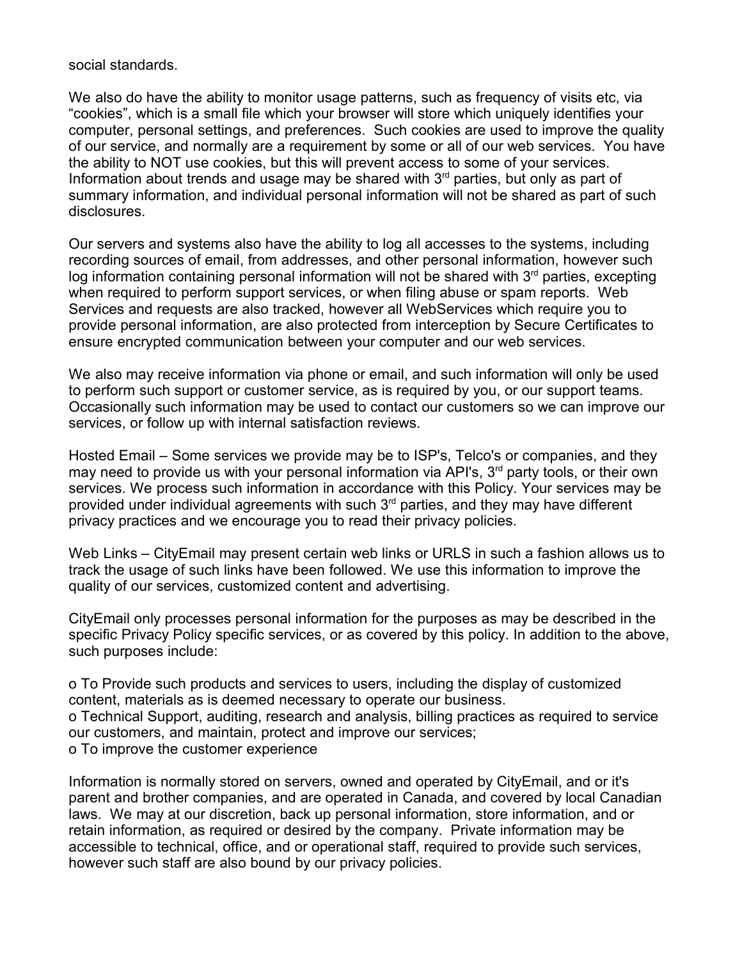social standards.

We also do have the ability to monitor usage patterns, such as frequency of visits etc, via "cookies", which is a small file which your browser will store which uniquely identifies your computer, personal settings, and preferences. Such cookies are used to improve the quality of our service, and normally are a requirement by some or all of our web services. You have the ability to NOT use cookies, but this will prevent access to some of your services. Information about trends and usage may be shared with  $3<sup>rd</sup>$  parties, but only as part of summary information, and individual personal information will not be shared as part of such disclosures.

Our servers and systems also have the ability to log all accesses to the systems, including recording sources of email, from addresses, and other personal information, however such log information containing personal information will not be shared with 3<sup>rd</sup> parties, excepting when required to perform support services, or when filing abuse or spam reports. Web Services and requests are also tracked, however all WebServices which require you to provide personal information, are also protected from interception by Secure Certificates to ensure encrypted communication between your computer and our web services.

We also may receive information via phone or email, and such information will only be used to perform such support or customer service, as is required by you, or our support teams. Occasionally such information may be used to contact our customers so we can improve our services, or follow up with internal satisfaction reviews.

Hosted Email – Some services we provide may be to ISP's, Telco's or companies, and they may need to provide us with your personal information via API's, 3<sup>rd</sup> party tools, or their own services. We process such information in accordance with this Policy. Your services may be provided under individual agreements with such  $3<sup>rd</sup>$  parties, and they may have different privacy practices and we encourage you to read their privacy policies.

Web Links – CityEmail may present certain web links or URLS in such a fashion allows us to track the usage of such links have been followed. We use this information to improve the quality of our services, customized content and advertising.

CityEmail only processes personal information for the purposes as may be described in the specific Privacy Policy specific services, or as covered by this policy. In addition to the above, such purposes include:

o To Provide such products and services to users, including the display of customized content, materials as is deemed necessary to operate our business. o Technical Support, auditing, research and analysis, billing practices as required to service our customers, and maintain, protect and improve our services; o To improve the customer experience

Information is normally stored on servers, owned and operated by CityEmail, and or it's parent and brother companies, and are operated in Canada, and covered by local Canadian laws. We may at our discretion, back up personal information, store information, and or retain information, as required or desired by the company. Private information may be accessible to technical, office, and or operational staff, required to provide such services, however such staff are also bound by our privacy policies.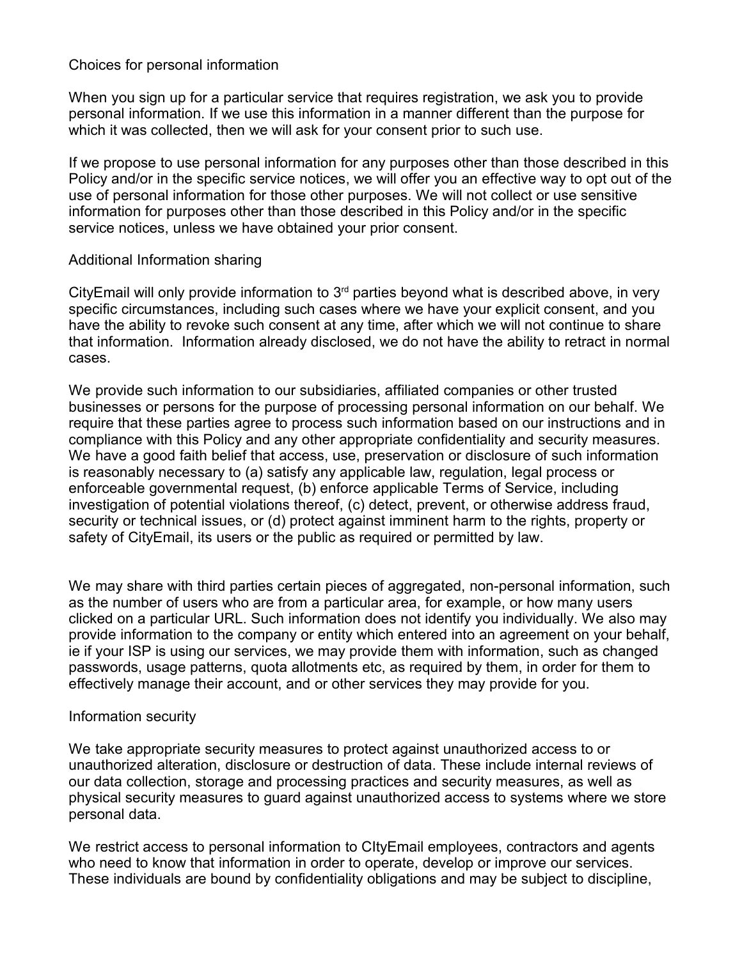## Choices for personal information

When you sign up for a particular service that requires registration, we ask you to provide personal information. If we use this information in a manner different than the purpose for which it was collected, then we will ask for your consent prior to such use.

If we propose to use personal information for any purposes other than those described in this Policy and/or in the specific service notices, we will offer you an effective way to opt out of the use of personal information for those other purposes. We will not collect or use sensitive information for purposes other than those described in this Policy and/or in the specific service notices, unless we have obtained your prior consent.

### Additional Information sharing

CityEmail will only provide information to  $3<sup>rd</sup>$  parties beyond what is described above, in very specific circumstances, including such cases where we have your explicit consent, and you have the ability to revoke such consent at any time, after which we will not continue to share that information. Information already disclosed, we do not have the ability to retract in normal cases.

We provide such information to our subsidiaries, affiliated companies or other trusted businesses or persons for the purpose of processing personal information on our behalf. We require that these parties agree to process such information based on our instructions and in compliance with this Policy and any other appropriate confidentiality and security measures. We have a good faith belief that access, use, preservation or disclosure of such information is reasonably necessary to (a) satisfy any applicable law, regulation, legal process or enforceable governmental request, (b) enforce applicable Terms of Service, including investigation of potential violations thereof, (c) detect, prevent, or otherwise address fraud, security or technical issues, or (d) protect against imminent harm to the rights, property or safety of CityEmail, its users or the public as required or permitted by law.

We may share with third parties certain pieces of aggregated, non-personal information, such as the number of users who are from a particular area, for example, or how many users clicked on a particular URL. Such information does not identify you individually. We also may provide information to the company or entity which entered into an agreement on your behalf, ie if your ISP is using our services, we may provide them with information, such as changed passwords, usage patterns, quota allotments etc, as required by them, in order for them to effectively manage their account, and or other services they may provide for you.

### Information security

We take appropriate security measures to protect against unauthorized access to or unauthorized alteration, disclosure or destruction of data. These include internal reviews of our data collection, storage and processing practices and security measures, as well as physical security measures to guard against unauthorized access to systems where we store personal data.

We restrict access to personal information to CItyEmail employees, contractors and agents who need to know that information in order to operate, develop or improve our services. These individuals are bound by confidentiality obligations and may be subject to discipline,